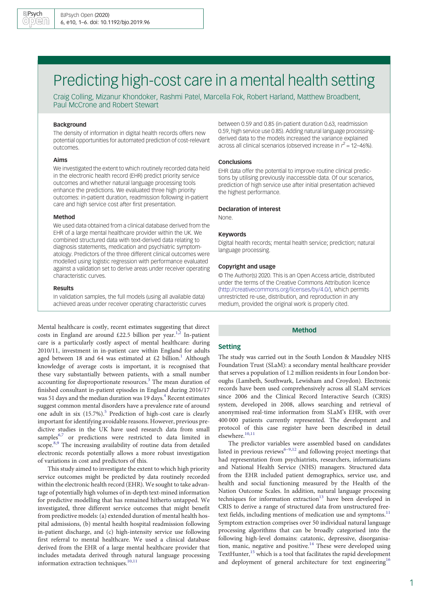# Predicting high-cost care in a mental health setting

Craig Colling, Mizanur Khondoker, Rashmi Patel, Marcella Fok, Robert Harland, Matthew Broadbent, Paul McCrone and Robert Stewart

#### Background

The density of information in digital health records offers new potential opportunities for automated prediction of cost-relevant outcomes.

#### Aims

We investigated the extent to which routinely recorded data held in the electronic health record (EHR) predict priority service outcomes and whether natural language processing tools enhance the predictions. We evaluated three high priority outcomes: in-patient duration, readmission following in-patient care and high service cost after first presentation.

#### Method

We used data obtained from a clinical database derived from the EHR of a large mental healthcare provider within the UK. We combined structured data with text-derived data relating to diagnosis statements, medication and psychiatric symptomatology. Predictors of the three different clinical outcomes were modelled using logistic regression with performance evaluated against a validation set to derive areas under receiver operating characteristic curves.

#### Results

In validation samples, the full models (using all available data) achieved areas under receiver operating characteristic curves

Mental healthcare is costly, recent estimates suggesting that direct costs in England are around £22.5 billion per year.<sup>[1,2](#page-5-0)</sup> In-patient care is a particularly costly aspect of mental healthcare: during 2010/11, investment in in-patient care within England for adults aged between 18 and 64 was estimated at £2 billion.<sup>1</sup> Although knowledge of average costs is important, it is recognised that these vary substantially between patients, with a small number accounting for disproportionate resources.<sup>[3](#page-5-0)</sup> The mean duration of finished consultant in-patient episodes in England during 2016/17 was 51 days and the median duration was 19 days.<sup>4</sup> Recent estimates suggest common mental disorders have a prevalence rate of around one adult in six  $(15.7\%)$  $(15.7\%)$  $(15.7\%)$ .<sup>5</sup> Prediction of high-cost care is clearly important for identifying avoidable reasons. However, previous predictive studies in the UK have used research data from small samples<sup>[6](#page-5-0),[7](#page-5-0)</sup> or predictions were restricted to data limited in scope.<sup>[8,9](#page-5-0)</sup> The increasing availability of routine data from detailed electronic records potentially allows a more robust investigation of variations in cost and predictors of this.

This study aimed to investigate the extent to which high priority service outcomes might be predicted by data routinely recorded within the electronic health record (EHR). We sought to take advantage of potentially high volumes of in-depth text-mined information for predictive modelling that has remained hitherto untapped. We investigated, three different service outcomes that might benefit from predictive models: (a) extended duration of mental health hospital admissions, (b) mental health hospital readmission following in-patient discharge, and (c) high-intensity service use following first referral to mental healthcare. We used a clinical database derived from the EHR of a large mental healthcare provider that includes metadata derived through natural language processing information extraction techniques.<sup>[10,11](#page-5-0)</sup>

between 0.59 and 0.85 (in-patient duration 0.63, readmission 0.59, high service use 0.85). Adding natural language processingderived data to the models increased the variance explained across all clinical scenarios (observed increase in  $r^2 = 12 - 46$ %).

#### **Conclusions**

EHR data offer the potential to improve routine clinical predictions by utilising previously inaccessible data. Of our scenarios, prediction of high service use after initial presentation achieved the highest performance.

#### Declaration of interest

None.

#### Keywords

Digital health records; mental health service; prediction; natural language processing.

#### Copyright and usage

© The Author(s) 2020. This is an Open Access article, distributed under the terms of the Creative Commons Attribution licence [\(http://creativecommons.org/licenses/by/4.0/\)](http://creativecommons.org/licenses/by/4.0/), which permits unrestricted re-use, distribution, and reproduction in any medium, provided the original work is properly cited.

#### Method

#### Setting

The study was carried out in the South London & Maudsley NHS Foundation Trust (SLaM): a secondary mental healthcare provider that serves a population of 1.2 million residents in four London boroughs (Lambeth, Southwark, Lewisham and Croydon). Electronic records have been used comprehensively across all SLaM services since 2006 and the Clinical Record Interactive Search (CRIS) system, developed in 2008, allows searching and retrieval of anonymised real-time information from SLaM's EHR, with over 400 000 patients currently represented. The development and protocol of this case register have been described in detail elsewhere. $^{\rm 10,11}$  $^{\rm 10,11}$  $^{\rm 10,11}$ 

The predictor variables were assembled based on candidates listed in previous reviews<sup>[6](#page-5-0)-[9,12](#page-5-0)</sup> and following project meetings that had representation from psychiatrists, researchers, informaticians and National Health Service (NHS) managers. Structured data from the EHR included patient demographics, service use, and health and social functioning measured by the Health of the Nation Outcome Scales. In addition, natural language processing techniques for information extraction<sup>[13](#page-5-0)</sup> have been developed in CRIS to derive a range of structured data from unstructured freetext fields, including mentions of medication use and symptoms. $^{11}$  $^{11}$  $^{11}$ Symptom extraction comprises over 50 individual natural language processing algorithms that can be broadly categorised into the following high-level domains: catatonic, depressive, disorganisation, manic, negative and positive.<sup>14</sup> These were developed using TextHunter,<sup>[15](#page-5-0)</sup> which is a tool that facilitates the rapid development and deployment of general architecture for text engineering<sup>[16](#page-5-0)</sup>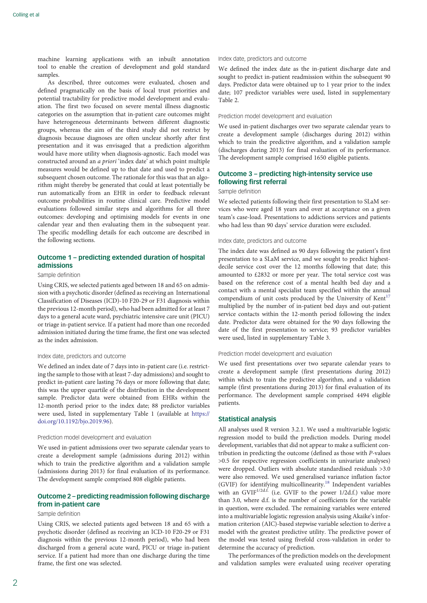machine learning applications with an inbuilt annotation tool to enable the creation of development and gold standard samples.

As described, three outcomes were evaluated, chosen and defined pragmatically on the basis of local trust priorities and potential tractability for predictive model development and evaluation. The first two focused on severe mental illness diagnostic categories on the assumption that in-patient care outcomes might have heterogeneous determinants between different diagnostic groups, whereas the aim of the third study did not restrict by diagnosis because diagnoses are often unclear shortly after first presentation and it was envisaged that a prediction algorithm would have more utility when diagnosis-agnostic. Each model was constructed around an a priori 'index date' at which point multiple measures would be defined up to that date and used to predict a subsequent chosen outcome. The rationale for this was that an algorithm might thereby be generated that could at least potentially be run automatically from an EHR in order to feedback relevant outcome probabilities in routine clinical care. Predictive model evaluations followed similar steps and algorithms for all three outcomes: developing and optimising models for events in one calendar year and then evaluating them in the subsequent year. The specific modelling details for each outcome are described in the following sections.

# Outcome 1 – predicting extended duration of hospital admissions

#### Sample definition

Using CRIS, we selected patients aged between 18 and 65 on admission with a psychotic disorder (defined as receiving an International Classification of Diseases (ICD)-10 F20-29 or F31 diagnosis within the previous 12-month period), who had been admitted for at least 7 days to a general acute ward, psychiatric intensive care unit (PICU) or triage in-patient service. If a patient had more than one recorded admission initiated during the time frame, the first one was selected as the index admission.

# Index date, predictors and outcome

We defined an index date of 7 days into in-patient care (i.e. restricting the sample to those with at least 7-day admissions) and sought to predict in-patient care lasting 76 days or more following that date; this was the upper quartile of the distribution in the development sample. Predictor data were obtained from EHRs within the 12-month period prior to the index date; 88 predictor variables were used, listed in supplementary Table 1 (available at [https://](https://doi.org/10.1192/bjo.2019.96) [doi.org/10.1192/bjo.2019.96\)](https://doi.org/10.1192/bjo.2019.96).

#### Prediction model development and evaluation

We used in-patient admissions over two separate calendar years to create a development sample (admissions during 2012) within which to train the predictive algorithm and a validation sample (admissions during 2013) for final evaluation of its performance. The development sample comprised 808 eligible patients.

# Outcome 2 – predicting readmission following discharge from in-patient care

## Sample definition

Using CRIS, we selected patients aged between 18 and 65 with a psychotic disorder (defined as receiving an ICD-10 F20-29 or F31 diagnosis within the previous 12-month period), who had been discharged from a general acute ward, PICU or triage in-patient service. If a patient had more than one discharge during the time frame, the first one was selected.

#### Index date, predictors and outcome

We defined the index date as the in-patient discharge date and sought to predict in-patient readmission within the subsequent 90 days. Predictor data were obtained up to 1 year prior to the index date; 107 predictor variables were used, listed in supplementary Table 2.

Prediction model development and evaluation

We used in-patient discharges over two separate calendar years to create a development sample (discharges during 2012) within which to train the predictive algorithm, and a validation sample (discharges during 2013) for final evaluation of its performance. The development sample comprised 1650 eligible patients.

# Outcome 3 – predicting high-intensity service use following first referral

## Sample definition

We selected patients following their first presentation to SLaM services who were aged 18 years and over at acceptance on a given team's case-load. Presentations to addictions services and patients who had less than 90 days' service duration were excluded.

## Index date, predictors and outcome

The index date was defined as 90 days following the patient's first presentation to a SLaM service, and we sought to predict highestdecile service cost over the 12 months following that date; this amounted to £2832 or more per year. The total service cost was based on the reference cost of a mental health bed day and a contact with a mental specialist team specified within the annual compendium of unit costs produced by the University of Kent<sup>[17](#page-5-0)</sup> multiplied by the number of in-patient bed days and out-patient service contacts within the 12-month period following the index date. Predictor data were obtained for the 90 days following the date of the first presentation to service; 93 predictor variables were used, listed in supplementary Table 3.

#### Prediction model development and evaluation

We used first presentations over two separate calendar years to create a development sample (first presentations during 2012) within which to train the predictive algorithm, and a validation sample (first presentations during 2013) for final evaluation of its performance. The development sample comprised 4494 eligible patients.

#### Statistical analysis

All analyses used R version 3.2.1. We used a multivariable logistic regression model to build the prediction models. During model development, variables that did not appear to make a sufficient contribution in predicting the outcome (defined as those with P-values >0.5 for respective regression coefficients in univariate analyses) were dropped. Outliers with absolute standardised residuals >3.0 were also removed. We used generalised variance inflation factor (GVIF) for identifying multicollinearity[.18](#page-5-0) Independent variables with an GVIF<sup>1/2d.f.</sup> (i.e. GVIF to the power 1/2d.f.) value more than 3.0, where d.f. is the number of coefficients for the variable in question, were excluded. The remaining variables were entered into a multivariable logistic regression analysis using Akaike's information criterion (AIC)-based stepwise variable selection to derive a model with the greatest predictive utility. The predictive power of the model was tested using fivefold cross-validation in order to determine the accuracy of prediction.

The performances of the prediction models on the development and validation samples were evaluated using receiver operating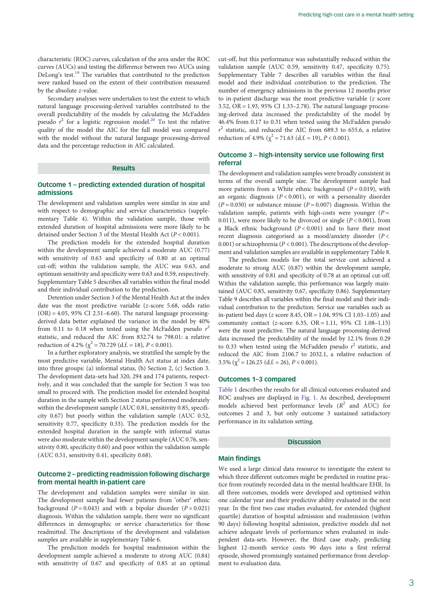characteristic (ROC) curves, calculation of the area under the ROC curves (AUCs) and testing the difference between two AUCs using DeLong's test.<sup>[19](#page-5-0)</sup> The variables that contributed to the prediction were ranked based on the extent of their contribution measured by the absolute z-value.

Secondary analyses were undertaken to test the extent to which natural language processing-derived variables contributed to the overall predictability of the models by calculating the McFadden pseudo  $r^2$  for a logistic regression model.<sup>[20](#page-5-0)</sup> To test the relative quality of the model the AIC for the full model was compared with the model without the natural language processing-derived data and the percentage reduction in AIC calculated.

#### **Results**

# Outcome 1 – predicting extended duration of hospital admissions

The development and validation samples were similar in size and with respect to demographic and service characteristics (supplementary Table 4). Within the validation sample, those with extended duration of hospital admissions were more likely to be detained under Section 3 of the Mental Health Act (P < 0.001).

The prediction models for the extended hospital duration within the development sample achieved a moderate AUC (0.77) with sensitivity of 0.63 and specificity of 0.80 at an optimal cut-off; within the validation sample, the AUC was 0.63, and optimum sensitivity and specificity were 0.63 and 0.59, respectively. Supplementary Table 5 describes all variables within the final model and their individual contribution to the prediction.

Detention under Section 3 of the Mental Health Act at the index date was the most predictive variable (z-score 5.68, odds ratio  $(OR) = 4.05$ , 95% CI 2.51–6.60). The natural language processingderived data better explained the variance in the model by 40% from 0.11 to 0.18 when tested using the McFadden pseudo  $r^2$ statistic, and reduced the AIC from 832.74 to 798.01: a relative reduction of 4.2% ( $\chi^2$  = 70.729 (d.f. = 18), P < 0.001).

In a further exploratory analysis, we stratified the sample by the most predictive variable, Mental Health Act status at index date, into three groups: (a) informal status, (b) Section 2, (c) Section 3. The development data-sets had 320, 294 and 174 patients, respectively, and it was concluded that the sample for Section 3 was too small to proceed with. The prediction model for extended hospital duration in the sample with Section 2 status performed moderately within the development sample (AUC 0.81, sensitivity 0.85, specificity 0.67) but poorly within the validation sample (AUC 0.52, sensitivity 0.77, specificity 0.33). The prediction models for the extended hospital duration in the sample with informal status were also moderate within the development sample (AUC 0.76, sensitivity 0.80, specificity 0.60) and poor within the validation sample (AUC 0.51, sensitivity 0.41, specificity 0.68).

# Outcome 2 – predicting readmission following discharge from mental health in-patient care

The development and validation samples were similar in size. The development sample had fewer patients from 'other' ethnic background ( $P = 0.043$ ) and with a bipolar disorder ( $P = 0.021$ ) diagnosis. Within the validation sample, there were no significant differences in demographic or service characteristics for those readmitted. The descriptions of the development and validation samples are available in supplementary Table 6.

The prediction models for hospital readmission within the development sample achieved a moderate to strong AUC (0.84) with sensitivity of 0.67 and specificity of 0.85 at an optimal cut-off, but this performance was substantially reduced within the validation sample (AUC 0.59, sensitivity 0.47, specificity 0.75). Supplementary Table 7 describes all variables within the final model and their individual contribution to the prediction. The number of emergency admissions in the previous 12 months prior to in-patient discharge was the most predictive variable  $(z)$  score 3.52, OR = 1.93, 95% CI 1.33–2.78). The natural language processing-derived data increased the predictability of the model by 46.4% from 0.17 to 0.31 when tested using the McFadden pseudo  $r^2$  statistic, and reduced the AIC from 689.3 to 655.6, a relative reduction of 4.9% ( $\chi^2$  = 71.63 (d.f. = 19), *P* < 0.001).

# Outcome 3 – high-intensity service use following first referral

The development and validation samples were broadly consistent in terms of the overall sample size. The development sample had more patients from a White ethnic background ( $P = 0.019$ ), with an organic diagnosis  $(P < 0.001)$ , or with a personality disorder  $(P = 0.030)$  or substance misuse  $(P = 0.007)$  diagnosis. Within the validation sample, patients with high-costs were younger  $(P =$ 0.011), were more likely to be divorced or single  $(P < 0.001)$ , from a Black ethnic background  $(P < 0.001)$  and to have their most recent diagnosis categorised as a mood/anxiety disorder (P < 0.001) or schizophrenia ( $P < 0.001$ ). The descriptions of the development and validation samples are available in supplementary Table 8.

The prediction models for the total service cost achieved a moderate to strong AUC (0.87) within the development sample, with sensitivity of 0.81 and specificity of 0.78 at an optimal cut-off. Within the validation sample, this performance was largely maintained (AUC 0.85, sensitivity 0.67, specificity 0.86). Supplementary Table 9 describes all variables within the final model and their individual contribution to the prediction. Service use variables such as in-patient bed days (z score 8.45, OR = 1.04, 95% CI 1.03–1.05) and community contact (z-score 6.35, OR = 1.11, 95% CI 1.08–1.15) were the most predictive. The natural language processing-derived data increased the predictability of the model by 12.1% from 0.29 to 0.33 when tested using the McFadden pseudo  $r^2$  statistic, and reduced the AIC from 2106.7 to 2032.1, a relative reduction of 3.5% ( $\chi^2$  = 126.25 (d.f. = 26), P < 0.001).

## Outcomes 1–3 compared

[Table 1](#page-3-0) describes the results for all clinical outcomes evaluated and ROC analyses are displayed in [Fig. 1.](#page-3-0) As described, development models achieved best performance levels  $(R^2 \text{ and AUC})$  for outcomes 2 and 3, but only outcome 3 sustained satisfactory performance in its validation setting.

## **Discussion**

# Main findings

We used a large clinical data resource to investigate the extent to which three different outcomes might be predicted in routine practice from routinely recorded data in the mental healthcare EHR. In all three outcomes, models were developed and optimised within one calendar year and their predictive ability evaluated in the next year. In the first two case studies evaluated, for extended (highest quartile) duration of hospital admission and readmission (within 90 days) following hospital admission, predictive models did not achieve adequate levels of performance when evaluated in independent data-sets. However, the third case study, predicting highest 12-month service costs 90 days into a first referral episode, showed promisingly sustained performance from development to evaluation data.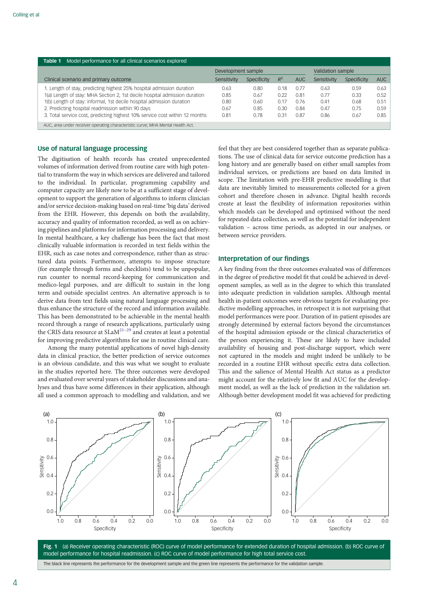<span id="page-3-0"></span>

| Model performance for all clinical scenarios explored<br>Table 1                |                    |             |       |            |                   |             |      |
|---------------------------------------------------------------------------------|--------------------|-------------|-------|------------|-------------------|-------------|------|
|                                                                                 | Development sample |             |       |            | Validation sample |             |      |
| Clinical scenario and primary outcome                                           | Sensitivity        | Specificity | $R^2$ | <b>AUC</b> | Sensitivity       | Specificity | AUC  |
| 1. Length of stay, predicting highest 25% hospital admission duration           | 0.63               | 0.80        | 0.18  | 0.77       | 0.63              | 0.59        | 0.63 |
| 1(a) Length of stay: MHA Section 2, 1st decile hospital admission duration      | 0.85               | 0.67        | 0.22  | 0.81       | 0.77              | 0.33        | 0.52 |
| 1(b) Length of stay: informal, 1st decile hospital admission duration           | 0.80               | 0.60        | 0.17  | 0.76       | 0.41              | 0.68        | 0.51 |
| 2. Predicting hospital readmission within 90 days                               | 0.67               | 0.85        | 0.30  | 0.84       | 0.47              | 0.75        | 0.59 |
| 3. Total service cost, predicting highest 10% service cost within 12 months     | 0.81               | 0.78        | 0.31  | 0.87       | 0.86              | 0.67        | 0.85 |
| AUC, area under receiver operating characteristic curve; MHA Mental Health Act. |                    |             |       |            |                   |             |      |

# Use of natural language processing

The digitisation of health records has created unprecedented volumes of information derived from routine care with high potential to transform the way in which services are delivered and tailored to the individual. In particular, programming capability and computer capacity are likely now to be at a sufficient stage of development to support the generation of algorithms to inform clinician and/or service decision-making based on real-time 'big data' derived from the EHR. However, this depends on both the availability, accuracy and quality of information recorded, as well as on achieving pipelines and platforms for information processing and delivery. In mental healthcare, a key challenge has been the fact that most clinically valuable information is recorded in text fields within the EHR, such as case notes and correspondence, rather than as structured data points. Furthermore, attempts to impose structure (for example through forms and checklists) tend to be unpopular, run counter to normal record-keeping for communication and medico-legal purposes, and are difficult to sustain in the long term and outside specialist centres. An alternative approach is to derive data from text fields using natural language processing and thus enhance the structure of the record and information available. This has been demonstrated to be achievable in the mental health record through a range of research applications, particularly using the CRIS data resource at  $SLaM^{21-29}$  $SLaM^{21-29}$  $SLaM^{21-29}$  $SLaM^{21-29}$  $SLaM^{21-29}$  and creates at least a potential for improving predictive algorithms for use in routine clinical care.

Among the many potential applications of novel high-density data in clinical practice, the better prediction of service outcomes is an obvious candidate, and this was what we sought to evaluate in the studies reported here. The three outcomes were developed and evaluated over several years of stakeholder discussions and analyses and thus have some differences in their application, although all used a common approach to modelling and validation, and we

feel that they are best considered together than as separate publications. The use of clinical data for service outcome prediction has a long history and are generally based on either small samples from individual services, or predictions are based on data limited in scope. The limitation with pre-EHR predictive modelling is that data are inevitably limited to measurements collected for a given cohort and therefore chosen in advance. Digital health records create at least the flexibility of information repositories within which models can be developed and optimised without the need for repeated data collection, as well as the potential for independent validation – across time periods, as adopted in our analyses, or between service providers.

## Interpretation of our findings

A key finding from the three outcomes evaluated was of differences in the degree of predictive model fit that could be achieved in development samples, as well as in the degree to which this translated into adequate prediction in validation samples. Although mental health in-patient outcomes were obvious targets for evaluating predictive modelling approaches, in retrospect it is not surprising that model performances were poor. Duration of in-patient episodes are strongly determined by external factors beyond the circumstances of the hospital admission episode or the clinical characteristics of the person experiencing it. These are likely to have included availability of housing and post-discharge support, which were not captured in the models and might indeed be unlikely to be recorded in a routine EHR without specific extra data collection. This and the salience of Mental Health Act status as a predictor might account for the relatively low fit and AUC for the development model, as well as the lack of prediction in the validation set. Although better development model fit was achieved for predicting



Fig. 1 (a) Receiver operating characteristic (ROC) curve of model performance for extended duration of hospital admission. (b) ROC curve of model performance for hospital readmission. (c) ROC curve of model performance for high total service cost. The black line represents the performance for the development sample and the green line represents the performance for the validation sample.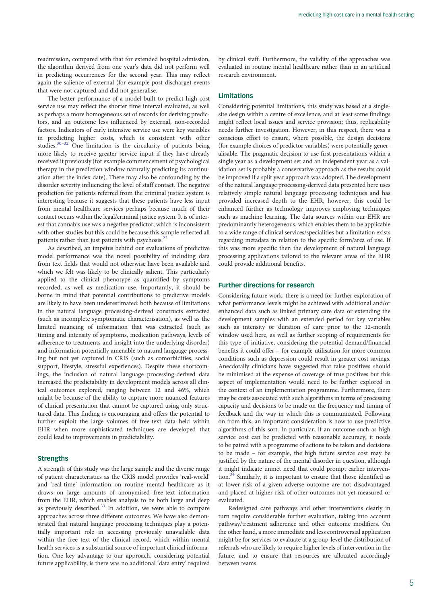readmission, compared with that for extended hospital admission, the algorithm derived from one year's data did not perform well in predicting occurrences for the second year. This may reflect again the salience of external (for example post-discharge) events that were not captured and did not generalise.

The better performance of a model built to predict high-cost service use may reflect the shorter time interval evaluated, as well as perhaps a more homogeneous set of records for deriving predictors, and an outcome less influenced by external, non-recorded factors. Indicators of early intensive service use were key variables in predicting higher costs, which is consistent with other studies. $30-32$  $30-32$  $30-32$  One limitation is the circularity of patients being more likely to receive greater service input if they have already received it previously (for example commencement of psychological therapy in the prediction window naturally predicting its continuation after the index date). There may also be confounding by the disorder severity influencing the level of staff contact. The negative prediction for patients referred from the criminal justice system is interesting because it suggests that these patients have less input from mental healthcare services perhaps because much of their contact occurs within the legal/criminal justice system. It is of interest that cannabis use was a negative predictor, which is inconsistent with other studies but this could be because this sample reflected all patients rather than just patients with psychosis.<sup>[22](#page-5-0)</sup>

As described, an impetus behind our evaluations of predictive model performance was the novel possibility of including data from text fields that would not otherwise have been available and which we felt was likely to be clinically salient. This particularly applied to the clinical phenotype as quantified by symptoms recorded, as well as medication use. Importantly, it should be borne in mind that potential contributions to predictive models are likely to have been underestimated: both because of limitations in the natural language processing-derived constructs extracted (such as incomplete symptomatic characterisation), as well as the limited nuancing of information that was extracted (such as timing and intensity of symptoms, medication pathways, levels of adherence to treatments and insight into the underlying disorder) and information potentially amenable to natural language processing but not yet captured in CRIS (such as comorbidities, social support, lifestyle, stressful experiences). Despite these shortcomings, the inclusion of natural language processing-derived data increased the predictability in development models across all clinical outcomes explored, ranging between 12 and 46%, which might be because of the ability to capture more nuanced features of clinical presentation that cannot be captured using only structured data. This finding is encouraging and offers the potential to further exploit the large volumes of free-text data held within EHR when more sophisticated techniques are developed that could lead to improvements in predictability.

# **Strengths**

A strength of this study was the large sample and the diverse range of patient characteristics as the CRIS model provides 'real-world' and 'real-time' information on routine mental healthcare as it draws on large amounts of anonymised free-text information from the EHR, which enables analysis to be both large and deep as previously described.<sup>33</sup> In addition, we were able to compare approaches across three different outcomes. We have also demonstrated that natural language processing techniques play a potentially important role in accessing previously unavailable data within the free text of the clinical record, which within mental health services is a substantial source of important clinical information. One key advantage to our approach, considering potential future applicability, is there was no additional 'data entry' required

by clinical staff. Furthermore, the validity of the approaches was evaluated in routine mental healthcare rather than in an artificial research environment.

#### **Limitations**

Considering potential limitations, this study was based at a singlesite design within a centre of excellence, and at least some findings might reflect local issues and service provision; thus, replicability needs further investigation. However, in this respect, there was a conscious effort to ensure, where possible, the design decisions (for example choices of predictor variables) were potentially generalisable. The pragmatic decision to use first presentations within a single year as a development set and an independent year as a validation set is probably a conservative approach as the results could be improved if a split year approach was adopted. The development of the natural language processing-derived data presented here uses relatively simple natural language processing techniques and has provided increased depth to the EHR, however, this could be enhanced further as technology improves employing techniques such as machine learning. The data sources within our EHR are predominantly heterogeneous, which enables them to be applicable to a wide range of clinical services/specialities but a limitation exists regarding metadata in relation to the specific form/area of use. If this was more specific then the development of natural language processing applications tailored to the relevant areas of the EHR could provide additional benefits.

# Further directions for research

Considering future work, there is a need for further exploration of what performance levels might be achieved with additional and/or enhanced data such as linked primary care data or extending the development samples with an extended period for key variables such as intensity or duration of care prior to the 12-month window used here, as well as further scoping of requirements for this type of initiative, considering the potential demand/financial benefits it could offer – for example utilisation for more common conditions such as depression could result in greater cost savings. Anecdotally clinicians have suggested that false positives should be minimised at the expense of coverage of true positives but this aspect of implementation would need to be further explored in the context of an implementation programme. Furthermore, there may be costs associated with such algorithms in terms of processing capacity and decisions to be made on the frequency and timing of feedback and the way in which this is communicated. Following on from this, an important consideration is how to use predictive algorithms of this sort. In particular, if an outcome such as high service cost can be predicted with reasonable accuracy, it needs to be paired with a programme of actions to be taken and decisions to be made – for example, the high future service cost may be justified by the nature of the mental disorder in question, although it might indicate unmet need that could prompt earlier intervention.[34](#page-5-0) Similarly, it is important to ensure that those identified as at lower risk of a given adverse outcome are not disadvantaged and placed at higher risk of other outcomes not yet measured or evaluated.

Redesigned care pathways and other interventions clearly in turn require considerable further evaluation, taking into account pathway/treatment adherence and other outcome modifiers. On the other hand, a more immediate and less controversial application might be for services to evaluate at a group-level the distribution of referrals who are likely to require higher levels of intervention in the future, and to ensure that resources are allocated accordingly between teams.